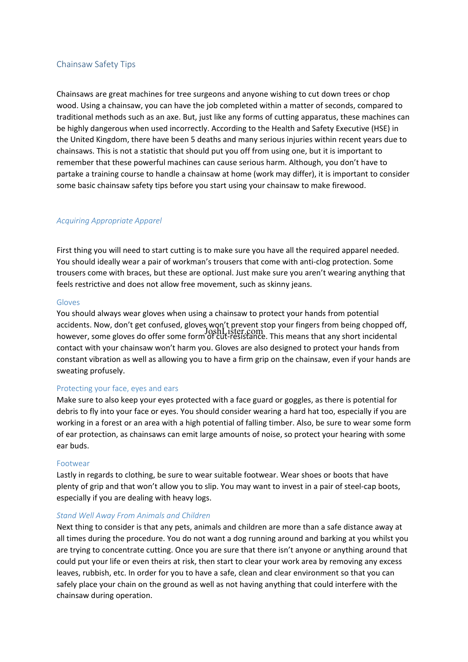# Chainsaw Safety Tips

Chainsaws are great machines for tree surgeons and anyone wishing to cut down trees or chop wood. Using a chainsaw, you can have the job completed within a matter of seconds, compared to traditional methods such as an axe. But, just like any forms of cutting apparatus, these machines can be highly dangerous when used incorrectly. According to the Health and Safety Executive (HSE) in the United Kingdom, there have been 5 deaths and many serious injuries within recent years due to chainsaws. This is not a statistic that should put you off from using one, but it is important to remember that these powerful machines can cause serious harm. Although, you don't have to partake a training course to handle a chainsaw at home (work may differ), it is important to consider some basic chainsaw safety tips before you start using your chainsaw to make firewood.

## *Acquiring Appropriate Apparel*

First thing you will need to start cutting is to make sure you have all the required apparel needed. You should ideally wear a pair of workman's trousers that come with anti-clog protection. Some trousers come with braces, but these are optional. Just make sure you aren't wearing anything that feels restrictive and does not allow free movement, such as skinny jeans.

#### Gloves

You should always wear gloves when using a chainsaw to protect your hands from potential accidents. Now, don't get confused, gloves won't prevent stop your fingers from being chopped off, however, some gloves do offer some form of cut-resistance. This means that any short incidental JoshLister.comcontact with your chainsaw won't harm you. Gloves are also designed to protect your hands from constant vibration as well as allowing you to have a firm grip on the chainsaw, even if your hands are sweating profusely.

#### Protecting your face, eyes and ears

Make sure to also keep your eyes protected with a face guard or goggles, as there is potential for debris to fly into your face or eyes. You should consider wearing a hard hat too, especially if you are working in a forest or an area with a high potential of falling timber. Also, be sure to wear some form of ear protection, as chainsaws can emit large amounts of noise, so protect your hearing with some ear buds.

#### **Footwear**

Lastly in regards to clothing, be sure to wear suitable footwear. Wear shoes or boots that have plenty of grip and that won't allow you to slip. You may want to invest in a pair of steel-cap boots, especially if you are dealing with heavy logs.

#### *Stand Well Away From Animals and Children*

Next thing to consider is that any pets, animals and children are more than a safe distance away at all times during the procedure. You do not want a dog running around and barking at you whilst you are trying to concentrate cutting. Once you are sure that there isn't anyone or anything around that could put your life or even theirs at risk, then start to clear your work area by removing any excess leaves, rubbish, etc. In order for you to have a safe, clean and clear environment so that you can safely place your chain on the ground as well as not having anything that could interfere with the chainsaw during operation.